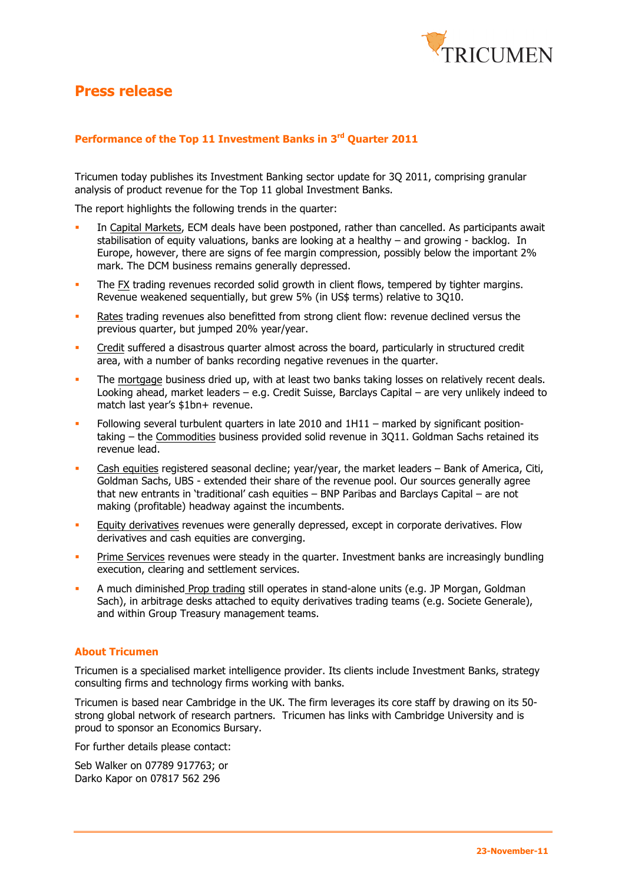

## **Press release**

### **Performance of the Top 11 Investment Banks in 3rd Quarter 2011**

Tricumen today publishes its Investment Banking sector update for 3Q 2011, comprising granular analysis of product revenue for the Top 11 global Investment Banks.

The report highlights the following trends in the quarter:

- In Capital Markets, ECM deals have been postponed, rather than cancelled. As participants await stabilisation of equity valuations, banks are looking at a healthy – and growing - backlog. In Europe, however, there are signs of fee margin compression, possibly below the important 2% mark. The DCM business remains generally depressed.
- The FX trading revenues recorded solid growth in client flows, tempered by tighter margins. Revenue weakened sequentially, but grew 5% (in US\$ terms) relative to 3Q10.
- Rates trading revenues also benefitted from strong client flow: revenue declined versus the previous quarter, but jumped 20% year/year.
- Credit suffered a disastrous quarter almost across the board, particularly in structured credit area, with a number of banks recording negative revenues in the quarter.
- The mortgage business dried up, with at least two banks taking losses on relatively recent deals. Looking ahead, market leaders – e.g. Credit Suisse, Barclays Capital – are very unlikely indeed to match last year's \$1bn+ revenue.
- Following several turbulent quarters in late 2010 and 1H11 marked by significant positiontaking – the Commodities business provided solid revenue in 3Q11. Goldman Sachs retained its revenue lead.
- Cash equities registered seasonal decline; year/year, the market leaders  $-$  Bank of America, Citi, Goldman Sachs, UBS - extended their share of the revenue pool. Our sources generally agree that new entrants in 'traditional' cash equities – BNP Paribas and Barclays Capital – are not making (profitable) headway against the incumbents.
- Equity derivatives revenues were generally depressed, except in corporate derivatives. Flow derivatives and cash equities are converging.
- **Prime Services revenues were steady in the quarter. Investment banks are increasingly bundling** execution, clearing and settlement services.
- A much diminished Prop trading still operates in stand-alone units (e.g. JP Morgan, Goldman Sach), in arbitrage desks attached to equity derivatives trading teams (e.g. Societe Generale), and within Group Treasury management teams.

#### **About Tricumen**

Tricumen is a specialised market intelligence provider. Its clients include Investment Banks, strategy consulting firms and technology firms working with banks.

Tricumen is based near Cambridge in the UK. The firm leverages its core staff by drawing on its 50 strong global network of research partners. Tricumen has links with Cambridge University and is proud to sponsor an Economics Bursary.

For further details please contact:

Seb Walker on 07789 917763; or Darko Kapor on 07817 562 296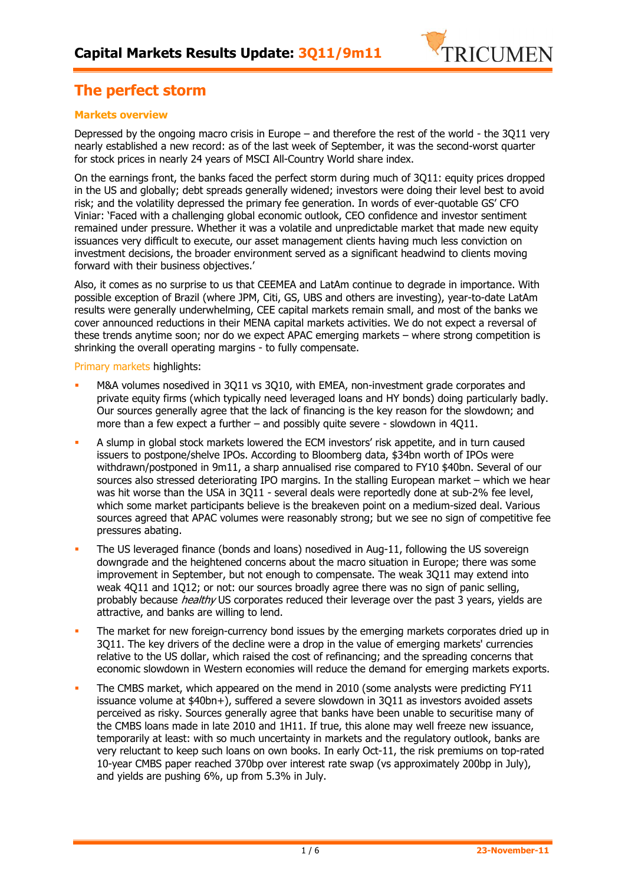

## **The perfect storm**

### **Markets overview**

Depressed by the ongoing macro crisis in Europe – and therefore the rest of the world - the 3Q11 very nearly established a new record: as of the last week of September, it was the second-worst quarter for stock prices in nearly 24 years of MSCI All-Country World share index.

On the earnings front, the banks faced the perfect storm during much of 3Q11: equity prices dropped in the US and globally; debt spreads generally widened; investors were doing their level best to avoid risk; and the volatility depressed the primary fee generation. In words of ever-quotable GS' CFO Viniar: 'Faced with a challenging global economic outlook, CEO confidence and investor sentiment remained under pressure. Whether it was a volatile and unpredictable market that made new equity issuances very difficult to execute, our asset management clients having much less conviction on investment decisions, the broader environment served as a significant headwind to clients moving forward with their business objectives.'

Also, it comes as no surprise to us that CEEMEA and LatAm continue to degrade in importance. With possible exception of Brazil (where JPM, Citi, GS, UBS and others are investing), year-to-date LatAm results were generally underwhelming, CEE capital markets remain small, and most of the banks we cover announced reductions in their MENA capital markets activities. We do not expect a reversal of these trends anytime soon; nor do we expect APAC emerging markets – where strong competition is shrinking the overall operating margins - to fully compensate.

Primary markets highlights:

- M&A volumes nosedived in 3Q11 vs 3Q10, with EMEA, non-investment grade corporates and private equity firms (which typically need leveraged loans and HY bonds) doing particularly badly. Our sources generally agree that the lack of financing is the key reason for the slowdown; and more than a few expect a further – and possibly quite severe - slowdown in 4Q11.
- A slump in global stock markets lowered the ECM investors' risk appetite, and in turn caused issuers to postpone/shelve IPOs. According to Bloomberg data, \$34bn worth of IPOs were withdrawn/postponed in 9m11, a sharp annualised rise compared to FY10 \$40bn. Several of our sources also stressed deteriorating IPO margins. In the stalling European market – which we hear was hit worse than the USA in 3Q11 - several deals were reportedly done at sub-2% fee level, which some market participants believe is the breakeven point on a medium-sized deal. Various sources agreed that APAC volumes were reasonably strong; but we see no sign of competitive fee pressures abating.
- The US leveraged finance (bonds and loans) nosedived in Aug-11, following the US sovereign downgrade and the heightened concerns about the macro situation in Europe; there was some improvement in September, but not enough to compensate. The weak 3Q11 may extend into weak 4Q11 and 1Q12; or not: our sources broadly agree there was no sign of panic selling, probably because *healthy* US corporates reduced their leverage over the past 3 years, yields are attractive, and banks are willing to lend.
- The market for new foreign-currency bond issues by the emerging markets corporates dried up in 3Q11. The key drivers of the decline were a drop in the value of emerging markets' currencies relative to the US dollar, which raised the cost of refinancing; and the spreading concerns that economic slowdown in Western economies will reduce the demand for emerging markets exports.
- The CMBS market, which appeared on the mend in 2010 (some analysts were predicting FY11 issuance volume at \$40bn+), suffered a severe slowdown in 3Q11 as investors avoided assets perceived as risky. Sources generally agree that banks have been unable to securitise many of the CMBS loans made in late 2010 and 1H11. If true, this alone may well freeze new issuance, temporarily at least: with so much uncertainty in markets and the regulatory outlook, banks are very reluctant to keep such loans on own books. In early Oct-11, the risk premiums on top-rated 10-year CMBS paper reached 370bp over interest rate swap (vs approximately 200bp in July), and yields are pushing 6%, up from 5.3% in July.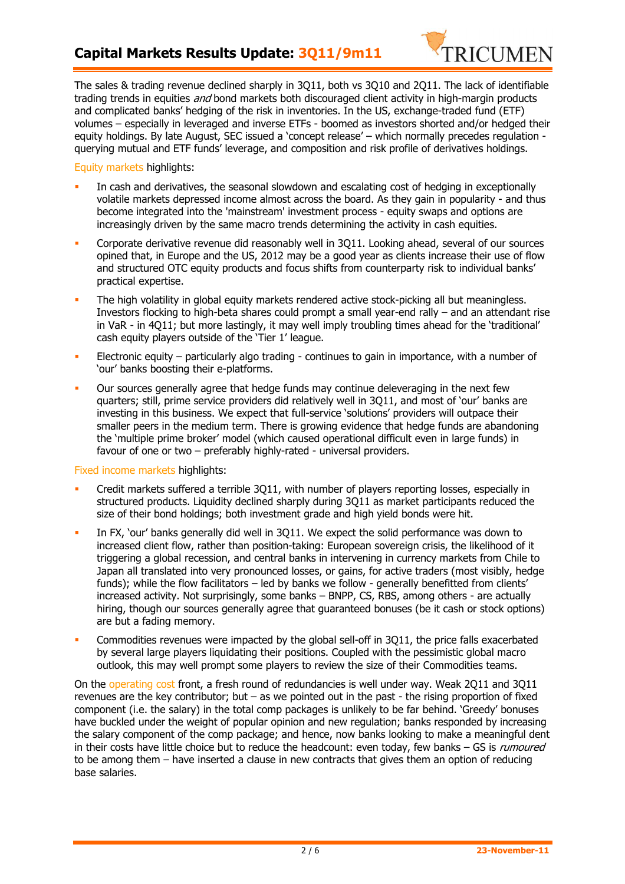## **Capital Markets Results Update: 3Q11/9m11**



The sales & trading revenue declined sharply in 3Q11, both vs 3Q10 and 2Q11. The lack of identifiable trading trends in equities *and* bond markets both discouraged client activity in high-margin products and complicated banks' hedging of the risk in inventories. In the US, exchange-traded fund (ETF) volumes – especially in leveraged and inverse ETFs - boomed as investors shorted and/or hedged their equity holdings. By late August, SEC issued a 'concept release' – which normally precedes regulation querying mutual and ETF funds' leverage, and composition and risk profile of derivatives holdings.

Equity markets highlights:

- In cash and derivatives, the seasonal slowdown and escalating cost of hedging in exceptionally volatile markets depressed income almost across the board. As they gain in popularity - and thus become integrated into the 'mainstream' investment process - equity swaps and options are increasingly driven by the same macro trends determining the activity in cash equities.
- Corporate derivative revenue did reasonably well in 3Q11. Looking ahead, several of our sources opined that, in Europe and the US, 2012 may be a good year as clients increase their use of flow and structured OTC equity products and focus shifts from counterparty risk to individual banks' practical expertise.
- The high volatility in global equity markets rendered active stock-picking all but meaningless. Investors flocking to high-beta shares could prompt a small year-end rally – and an attendant rise in VaR - in 4Q11; but more lastingly, it may well imply troubling times ahead for the 'traditional' cash equity players outside of the 'Tier 1' league.
- Electronic equity particularly algo trading continues to gain in importance, with a number of 'our' banks boosting their e-platforms.
- Our sources generally agree that hedge funds may continue deleveraging in the next few quarters; still, prime service providers did relatively well in 3Q11, and most of 'our' banks are investing in this business. We expect that full-service 'solutions' providers will outpace their smaller peers in the medium term. There is growing evidence that hedge funds are abandoning the 'multiple prime broker' model (which caused operational difficult even in large funds) in favour of one or two – preferably highly-rated - universal providers.

Fixed income markets highlights:

- Credit markets suffered a terrible 3Q11, with number of players reporting losses, especially in structured products. Liquidity declined sharply during 3Q11 as market participants reduced the size of their bond holdings; both investment grade and high yield bonds were hit.
- In FX, 'our' banks generally did well in 3Q11. We expect the solid performance was down to increased client flow, rather than position-taking: European sovereign crisis, the likelihood of it triggering a global recession, and central banks in intervening in currency markets from Chile to Japan all translated into very pronounced losses, or gains, for active traders (most visibly, hedge funds); while the flow facilitators – led by banks we follow - generally benefitted from clients' increased activity. Not surprisingly, some banks – BNPP, CS, RBS, among others - are actually hiring, though our sources generally agree that guaranteed bonuses (be it cash or stock options) are but a fading memory.
- Commodities revenues were impacted by the global sell-off in 3Q11, the price falls exacerbated by several large players liquidating their positions. Coupled with the pessimistic global macro outlook, this may well prompt some players to review the size of their Commodities teams.

On the operating cost front, a fresh round of redundancies is well under way. Weak 2Q11 and 3Q11 revenues are the key contributor; but – as we pointed out in the past - the rising proportion of fixed component (i.e. the salary) in the total comp packages is unlikely to be far behind. 'Greedy' bonuses have buckled under the weight of popular opinion and new regulation; banks responded by increasing the salary component of the comp package; and hence, now banks looking to make a meaningful dent in their costs have little choice but to reduce the headcount: even today, few banks - GS is rumoured to be among them – have inserted a clause in new contracts that gives them an option of reducing base salaries.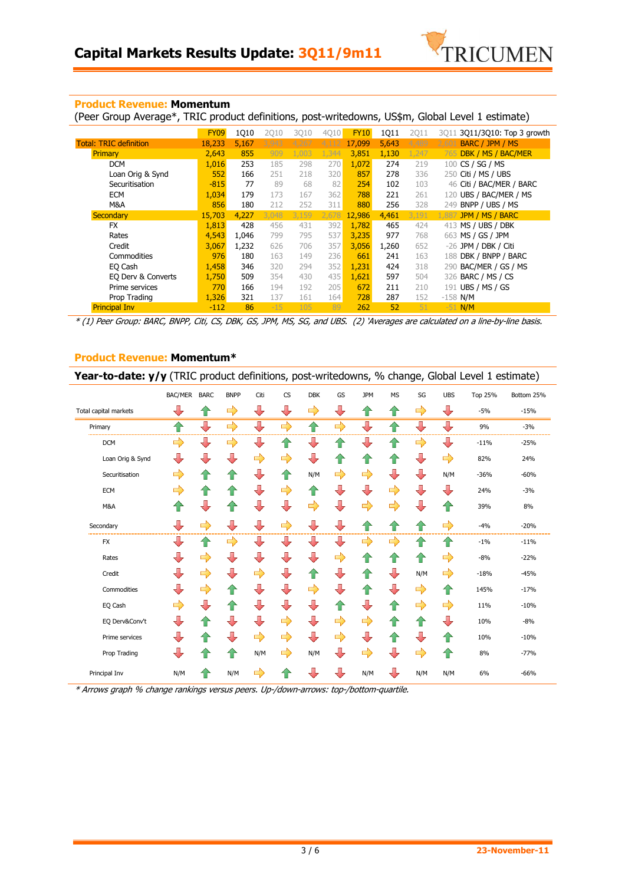

#### **Product Revenue: Momentum**

(Peer Group Average\*, TRIC product definitions, post-writedowns, US\$m, Global Level 1 estimate)

|                               | <b>FY09</b> | 1Q10  | <b>2Q10</b> | 3Q10  | 4Q10  | <b>FY10</b> | 1Q11  | <b>2Q11</b> | 3011 3011/3010: Top 3 growth |
|-------------------------------|-------------|-------|-------------|-------|-------|-------------|-------|-------------|------------------------------|
| <b>Total: TRIC definition</b> | 18,233      | 5,167 | 3.943       | 4,267 | 4,112 | 17,099      | 5,643 | 4,489       | BARC / JPM / MS<br>2.601     |
| <b>Primary</b>                | 2,643       | 855   | 909         | 1,003 | 1,344 | 3,851       | 1,130 | 1,247       | DBK / MS / BAC/MER<br>765    |
| <b>DCM</b>                    | 1,016       | 253   | 185         | 298   | 270   | 1,072       | 274   | 219         | CS / SG / MS<br>100          |
| Loan Orig & Synd              | 552         | 166   | 251         | 218   | 320   | 857         | 278   | 336         | Citi / MS / UBS<br>250       |
| Securitisation                | $-815$      | 77    | 89          | 68    | 82    | 254         | 102   | 103         | 46 Citi / BAC/MER / BARC     |
| <b>ECM</b>                    | 1,034       | 179   | 173         | 167   | 362   | 788         | 221   | 261         | UBS / BAC/MER / MS<br>120    |
| M&A                           | 856         | 180   | 212         | 252   | 311   | 880         | 256   | 328         | BNPP / UBS / MS<br>249       |
| <b>Secondary</b>              | 15,703      | 4,227 | 3,048       | 3,159 | 2,678 | 12,986      | 4,461 | 3,191       | JPM / MS / BARC<br>1.881     |
| <b>FX</b>                     | 1,813       | 428   | 456         | 431   | 392   | 1,782       | 465   | 424         | 413 MS / UBS / DBK           |
| Rates                         | 4,543       | 1,046 | 799         | 795   | 537   | 3,235       | 977   | 768         | MS / GS / JPM<br>663         |
| Credit                        | 3,067       | 1,232 | 626         | 706   | 357   | 3,056       | 1,260 | 652         | -26 JPM / DBK / Citi         |
| Commodities                   | 976         | 180   | 163         | 149   | 236   | 661         | 241   | 163         | DBK / BNPP / BARC<br>188     |
| EQ Cash                       | 1,458       | 346   | 320         | 294   | 352   | 1,231       | 424   | 318         | BAC/MER / GS / MS<br>290     |
| EQ Derv & Converts            | 1,750       | 509   | 354         | 430   | 435   | 1,621       | 597   | 504         | BARC / MS / CS<br>326        |
| Prime services                | 770         | 166   | 194         | 192   | 205   | 672         | 211   | 210         | UBS / MS / GS<br>191         |
| Prop Trading                  | 1,326       | 321   | 137         | 161   | 164   | 728         | 287   | 152         | $-158$ N/M                   |
| <b>Principal Inv</b>          | $-112$      | 86    | $-15$       | 105   | 89    | 262         | 52    | 51          | $-51$ N/M                    |

 $*$  (1) Peer Group: BARC, BNPP, Citi, CS, DBK, GS, JPM, MS, SG, and UBS. (2) 'Averages are calculated on a line-by-line basis.

#### **Product Revenue: Momentum\***

**Year-to-date: y/y** (TRIC product definitions, post-writedowns, % change, Global Level 1 estimate)

|                          | <b>BAC/MER</b>           | <b>BARC</b>        | <b>BNPP</b>             | Citi                    | <b>CS</b>     | <b>DBK</b>              | GS                       | <b>JPM</b>              | <b>MS</b>               | SG                      | <b>UBS</b>    | Top 25% | Bottom 25% |
|--------------------------|--------------------------|--------------------|-------------------------|-------------------------|---------------|-------------------------|--------------------------|-------------------------|-------------------------|-------------------------|---------------|---------|------------|
| Total capital markets    | ⇩                        | ⇑                  | $\Rightarrow$           | ⇩                       | ₩             | $\Rightarrow$           | $\overline{\mathbf{L}}$  | ⇑                       | ⇧                       | $\Rightarrow$           | ⊕             | $-5%$   | $-15%$     |
| Primary                  | ⇑                        | ⇩                  | $\Rightarrow$           | $\overline{\mathbb{U}}$ | $\Rightarrow$ | $\bigcirc$              | $\Rightarrow$            | $\downarrow$            | 企                       | $\overline{\mathbf{L}}$ | ⇩             | 9%      | $-3%$      |
| <b>DCM</b>               | $\Rightarrow$            | $\sqrt{2}$         | $\Rightarrow$           |                         | 1             | ┺                       | ⇑                        | $\sqrt{2}$              | 仆                       | $\Rightarrow$           | ⊕             | $-11%$  | $-25%$     |
| Loan Orig & Synd         | ⊕                        | ⇩                  | ⊕                       | $\Rightarrow$           | $\Rightarrow$ | $\overline{\mathbf{L}}$ | ⇑                        | ⇑                       | ⇑                       | $\bigoplus$             | $\Rightarrow$ | 82%     | 24%        |
| Securitisation           | ➡                        | ⇧                  | ⇑                       | $\sqrt{2}$              | ⇧             | N/M                     | $\Rightarrow$            | $\Rightarrow$           | ┺                       | $\sqrt{2}$              | N/M           | $-36%$  | $-60%$     |
| ECM                      | $\Rightarrow$            | 企                  | ⇑                       |                         | $\Rightarrow$ | 企                       | $\overline{\mathbb{L}}$  | $\sqrt{2}$              | $\Rightarrow$           | $\sqrt{2}$              | ┺             | 24%     | $-3%$      |
| M&A                      | ⇑                        | ⇩                  | $\hat{\mathbf{r}}$      | J                       | ┺             | $\Rightarrow$           |                          | $\Rightarrow$           | $\Rightarrow$           | ┺                       | ⇑             | 39%     | 8%         |
| Secondary<br>___________ | $\overline{\mathbb{J}}$  | $\Rightarrow$      | $\overline{\mathbb{J}}$ | ⇩                       | $\Rightarrow$ | $\overline{\mathbb{L}}$ | $\overline{\phantom{a}}$ | $\bigoplus$             | ⇧                       | ⇑                       | $\Rightarrow$ | $-4%$   | $-20%$     |
| <b>FX</b>                | ₩                        | ∕⊩                 | ゴ                       | J,                      | ₩             | ┹                       | ┺                        | ⇨                       | $\Box$                  |                         | 47            | $-1%$   | $-11%$     |
| Rates                    | $\overline{\mathbf{L}}$  | $\Rightarrow$      | 儿                       | J                       | ₩             | $\overline{\mathbf{L}}$ | $\Rightarrow$            | ⇑                       | ⇑                       |                         | $\Rightarrow$ | $-8%$   | $-22%$     |
| Credit                   | $\overline{\mathbf{L}}$  | $\Rightarrow$      | $\sqrt{2}$              | $\Rightarrow$           | ┺             | ⇧                       | $\overline{\phantom{a}}$ | ⇑                       | $\overline{\mathbb{U}}$ | N/M                     | $\Rightarrow$ | $-18%$  | $-45%$     |
| Commodities              | $\overline{\mathbf{L}}$  | $\Rightarrow$      | $\bigcirc$              | ⇩                       | ₩             | $\Rightarrow$           | ⊕                        | ⇑                       | ⇩                       | $\Rightarrow$           | ⇑             | 145%    | $-17%$     |
| EQ Cash                  | $\Rightarrow$            | ⇩                  | 一个                      | ⇩                       | ┺             | ⊕                       | ⇑                        | ⇩                       | 企                       | $\Rightarrow$           | $\Rightarrow$ | 11%     | $-10%$     |
| EQ Derv&Conv't           | $\overline{\phantom{a}}$ | $\mathbf{\hat{T}}$ | J                       | J                       | $\Rightarrow$ | ⊕                       | $\Rightarrow$            | $\Rightarrow$           | ⇑                       | $\mathbf{P}$            | J             | 10%     | $-8%$      |
| Prime services           | $\overline{\mathbf{L}}$  | 企                  | $\overline{\mathbf{L}}$ | $\Rightarrow$           | $\Rightarrow$ | ⊕                       | $\Rightarrow$            | $\overline{\mathbb{U}}$ | ⇑                       | ⇩                       | 企             | 10%     | $-10%$     |
| Prop Trading             | ┺                        | ⇑                  | ⇑                       | N/M                     | $\Rightarrow$ | N/M                     | $\overline{\mathbb{L}}$  | $\Rightarrow$           | ⇩                       | $\Rightarrow$           | ⇑             | 8%      | $-77%$     |
| Principal Inv            | N/M                      | ⇧                  | N/M                     | $\Rightarrow$           |               |                         |                          | N/M                     | ⊕                       | N/M                     | N/M           | 6%      | $-66%$     |

\* Arrows graph % change rankings versus peers. Up-/down-arrows: top-/bottom-quartile.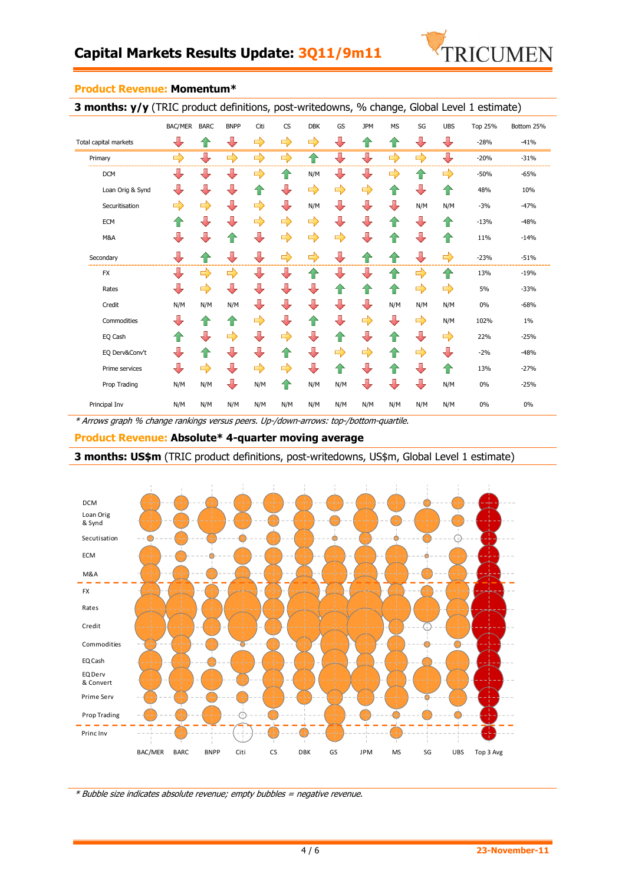

| <b>3 months: y/y</b> (TRIC product definitions, post-writedowns, % change, Global Level 1 estimate) |                         |               |                          |               |               |               |                          |                         |               |                         |               |                |            |
|-----------------------------------------------------------------------------------------------------|-------------------------|---------------|--------------------------|---------------|---------------|---------------|--------------------------|-------------------------|---------------|-------------------------|---------------|----------------|------------|
|                                                                                                     | <b>BAC/MER</b>          | <b>BARC</b>   | <b>BNPP</b>              | Citi          | CS            | <b>DBK</b>    | GS                       | <b>JPM</b>              | <b>MS</b>     | SG                      | <b>UBS</b>    | <b>Top 25%</b> | Bottom 25% |
| Total capital markets                                                                               | $\overline{\mathbf{L}}$ | ⇧             | $\overline{\phantom{a}}$ | $\Rightarrow$ | $\Rightarrow$ | $\Rightarrow$ | ⊕                        | ⇑                       | ⇧             | ⇩                       | ⇩             | $-28%$         | $-41%$     |
| Primary                                                                                             | $\Rightarrow$           | ⇩             | $\Rightarrow$            | $\Rightarrow$ | $\Rightarrow$ | 仐             | ⇩                        | J                       | $\Rightarrow$ | $\Rightarrow$           | ⇩             | $-20%$         | $-31%$     |
| <b>DCM</b>                                                                                          | ⊕                       | ⇩             | ⇩                        | $\Rightarrow$ | ⇑             | N/M           | ⊕                        | $\overline{\mathbf{L}}$ | $\Rightarrow$ | ⇑                       | ⇨             | $-50%$         | $-65%$     |
| Loan Orig & Synd                                                                                    | ⇩                       | ⇩             | ⇩                        | 仆             | ⊕             | $\Rightarrow$ | $\Rightarrow$            | $\Rightarrow$           | 企             | ⇩                       | ⇧             | 48%            | 10%        |
| Securitisation                                                                                      | ⇨                       | $\Rightarrow$ | $\overline{\mathbf{r}}$  | $\Rightarrow$ | ⊕             | N/M           | ⊕                        | $\sqrt{2}$              | ⊕             | N/M                     | N/M           | $-3%$          | $-47%$     |
| <b>ECM</b>                                                                                          | ⇑                       | ⇩             | ┺                        | $\Rightarrow$ | $\Rightarrow$ | $\Rightarrow$ | ⊕                        | $\overline{\mathbb{R}}$ | ⇑             | ⇩                       | ⇑             | $-13%$         | $-48%$     |
| M&A                                                                                                 | ┺                       | ⇩             | 1ì                       | $\sqrt{2}$    | $\Rightarrow$ | $\Rightarrow$ | $\Rightarrow$            | ⊕                       | 企             | $\color{red} \bigoplus$ | ⇑             | 11%            | $-14%$     |
| Secondary                                                                                           | ⊕                       | ⇑             | J                        | ⊕             | $\Rightarrow$ | $\Rightarrow$ | ⊕                        | ⇑                       | ⇑             | ⇩                       | $\Rightarrow$ | $-23%$         | $-51%$     |
| <b>FX</b>                                                                                           | ┺                       | $\Rightarrow$ | $\Rightarrow$            | ┺             | ⊕             | 企             | $\overline{\mathbb{L}}$  | ┺                       | 企             | $\Rightarrow$           | ⇑             | 13%            | $-19%$     |
| Rates                                                                                               | ⇩                       | $\Rightarrow$ | ⇩                        | ┺             | ⇩             | ⇩             | ⇑                        | 一个                      | ⇑             | $\Rightarrow$           | $\Rightarrow$ | 5%             | $-33%$     |
| Credit                                                                                              | N/M                     | N/M           | N/M                      | ┺             | $\bigcup$     | ⊕             | ⊕                        | ⊕                       | N/M           | N/M                     | N/M           | 0%             | $-68%$     |
| Commodities                                                                                         | ┺                       | ⇑             | ⇑                        | $\Rightarrow$ | ┺             | 企             | $\overline{\phantom{a}}$ | $\Rightarrow$           | ⊕             | $\Rightarrow$           | N/M           | 102%           | $1\%$      |
| EQ Cash                                                                                             | ⇑                       | $\sqrt{2}$    | $\Rightarrow$            | ⊕             | $\Rightarrow$ | ⊕             | ⇑                        | $\sqrt{2}$              | ⇑             | ⊕                       | $\Rightarrow$ | 22%            | $-25%$     |
| EQ Derv&Conv't                                                                                      | $\overline{\mathbf{v}}$ | ⇑             | ⊕                        | ⊕             | ⇑             | ⊕             | $\Rightarrow$            | $\Rightarrow$           | ⇑             | $\Rightarrow$           | ⊕             | $-2%$          | $-48%$     |
| Prime services                                                                                      | ⊕                       | $\Rightarrow$ | ⇩                        | $\Rightarrow$ | $\Rightarrow$ | ⊕             | ⇑                        |                         | $\mathbf{r}$  | ⇩                       | ⇑             | 13%            | $-27%$     |
| Prop Trading                                                                                        | N/M                     | N/M           | ⊕                        | N/M           | 4P            | N/M           | N/M                      | ⇩                       | ⇩             | ⇩                       | N/M           | 0%             | $-25%$     |
| Principal Inv                                                                                       | N/M                     | N/M           | N/M                      | N/M           | N/M           | N/M           | N/M                      | N/M                     | N/M           | N/M                     | N/M           | 0%             | 0%         |

#### **Product Revenue: Momentum\***

\* Arrows graph % change rankings versus peers. Up-/down-arrows: top-/bottom-quartile.

**Product Revenue: Absolute\* 4-quarter moving average**

## **3 months: US\$m** (TRIC product definitions, post-writedowns, US\$m, Global Level 1 estimate)



\* Bubble size indicates absolute revenue; empty bubbles = negative revenue.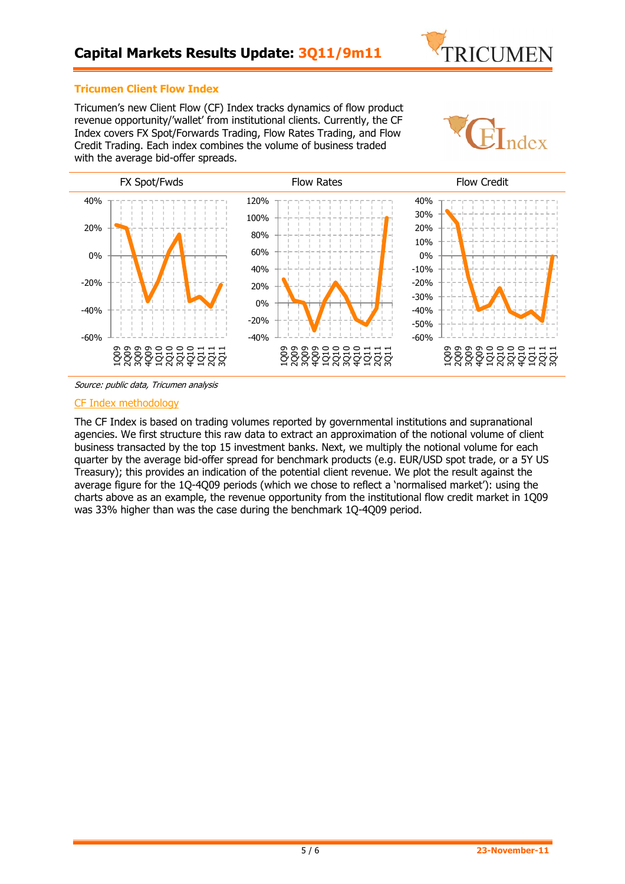

## **Tricumen Client Flow Index**

Tricumen's new Client Flow (CF) Index tracks dynamics of flow product revenue opportunity/'wallet' from institutional clients. Currently, the CF Index covers FX Spot/Forwards Trading, Flow Rates Trading, and Flow Credit Trading. Each index combines the volume of business traded with the average bid-offer spreads.





Source: public data, Tricumen analysis

#### CF Index methodology

The CF Index is based on trading volumes reported by governmental institutions and supranational agencies. We first structure this raw data to extract an approximation of the notional volume of client business transacted by the top 15 investment banks. Next, we multiply the notional volume for each quarter by the average bid-offer spread for benchmark products (e.g. EUR/USD spot trade, or a 5Y US Treasury); this provides an indication of the potential client revenue. We plot the result against the average figure for the 1Q-4Q09 periods (which we chose to reflect a 'normalised market'): using the charts above as an example, the revenue opportunity from the institutional flow credit market in 1Q09 was 33% higher than was the case during the benchmark 1Q-4Q09 period.